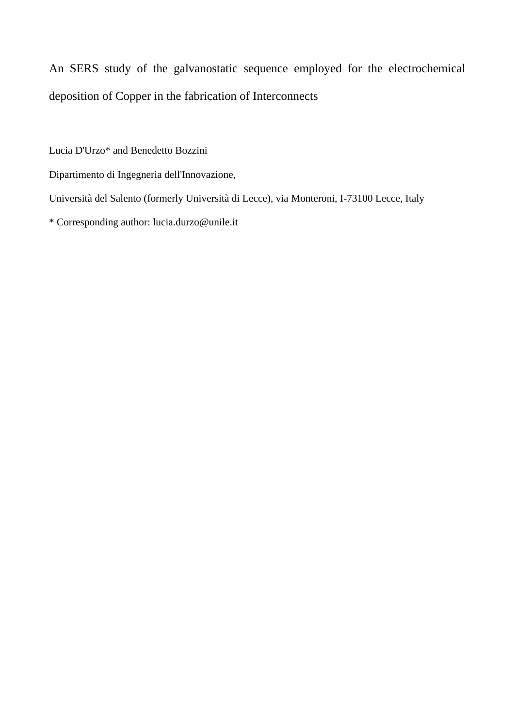An SERS study of the galvanostatic sequence employed for the electrochemical deposition of Copper in the fabrication of Interconnects

Lucia D'Urzo\* and Benedetto Bozzini

Dipartimento di Ingegneria dell'Innovazione,

Università del Salento (formerly Università di Lecce), via Monteroni, I-73100 Lecce, Italy

\* Corresponding author: lucia.durzo@unile.it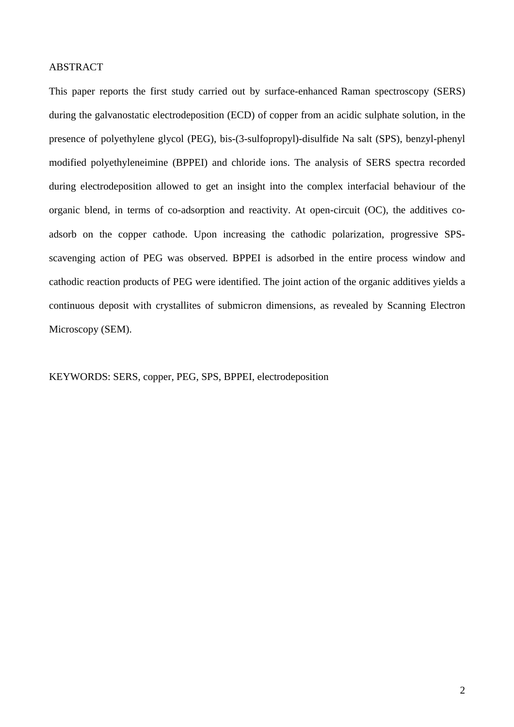# ABSTRACT

This paper reports the first study carried out by surface-enhanced Raman spectroscopy (SERS) during the galvanostatic electrodeposition (ECD) of copper from an acidic sulphate solution, in the presence of polyethylene glycol (PEG), bis-(3-sulfopropyl)-disulfide Na salt (SPS), benzyl-phenyl modified polyethyleneimine (BPPEI) and chloride ions. The analysis of SERS spectra recorded during electrodeposition allowed to get an insight into the complex interfacial behaviour of the organic blend, in terms of co-adsorption and reactivity. At open-circuit (OC), the additives coadsorb on the copper cathode. Upon increasing the cathodic polarization, progressive SPSscavenging action of PEG was observed. BPPEI is adsorbed in the entire process window and cathodic reaction products of PEG were identified. The joint action of the organic additives yields a continuous deposit with crystallites of submicron dimensions, as revealed by Scanning Electron Microscopy (SEM).

KEYWORDS: SERS, copper, PEG, SPS, BPPEI, electrodeposition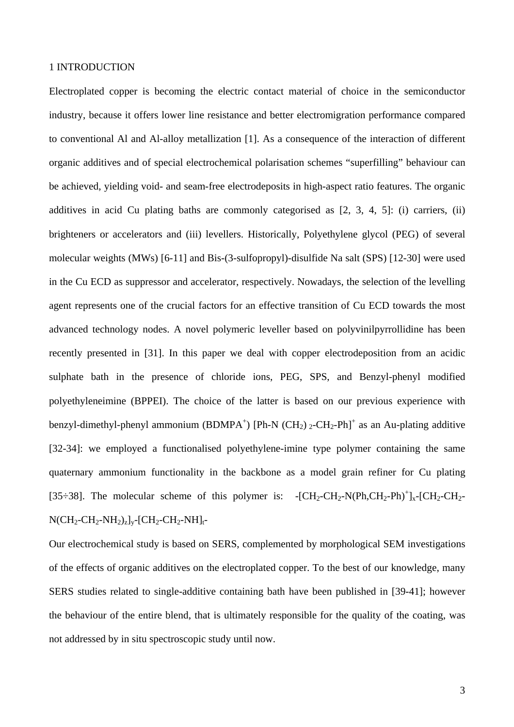## 1 INTRODUCTION

Electroplated copper is becoming the electric contact material of choice in the semiconductor industry, because it offers lower line resistance and better electromigration performance compared to conventional Al and Al-alloy metallization [1]. As a consequence of the interaction of different organic additives and of special electrochemical polarisation schemes "superfilling" behaviour can be achieved, yielding void- and seam-free electrodeposits in high-aspect ratio features. The organic additives in acid Cu plating baths are commonly categorised as [2, 3, 4, 5]: (i) carriers, (ii) brighteners or accelerators and (iii) levellers. Historically, Polyethylene glycol (PEG) of several molecular weights (MWs) [6-11] and Bis-(3-sulfopropyl)-disulfide Na salt (SPS) [12-30] were used in the Cu ECD as suppressor and accelerator, respectively. Nowadays, the selection of the levelling agent represents one of the crucial factors for an effective transition of Cu ECD towards the most advanced technology nodes. A novel polymeric leveller based on polyvinilpyrrollidine has been recently presented in [31]. In this paper we deal with copper electrodeposition from an acidic sulphate bath in the presence of chloride ions, PEG, SPS, and Benzyl-phenyl modified polyethyleneimine (BPPEI). The choice of the latter is based on our previous experience with benzyl-dimethyl-phenyl ammonium (BDMPA<sup>+</sup>) [Ph-N (CH<sub>2</sub>) 2-CH<sub>2</sub>-Ph]<sup>+</sup> as an Au-plating additive [32-34]: we employed a functionalised polyethylene-imine type polymer containing the same quaternary ammonium functionality in the backbone as a model grain refiner for Cu plating [35÷38]. The molecular scheme of this polymer is:  $-[CH_2-CH_2-N(Ph, CH_2-Ph)^+]_x-[CH_2-CH_2+Ph]_x$  $N(CH_2-CH_2-NH_2)_z]_v$ -[CH<sub>2</sub>-CH<sub>2</sub>-NH]<sub>t</sub>-

Our electrochemical study is based on SERS, complemented by morphological SEM investigations of the effects of organic additives on the electroplated copper. To the best of our knowledge, many SERS studies related to single-additive containing bath have been published in [39-41]; however the behaviour of the entire blend, that is ultimately responsible for the quality of the coating, was not addressed by in situ spectroscopic study until now.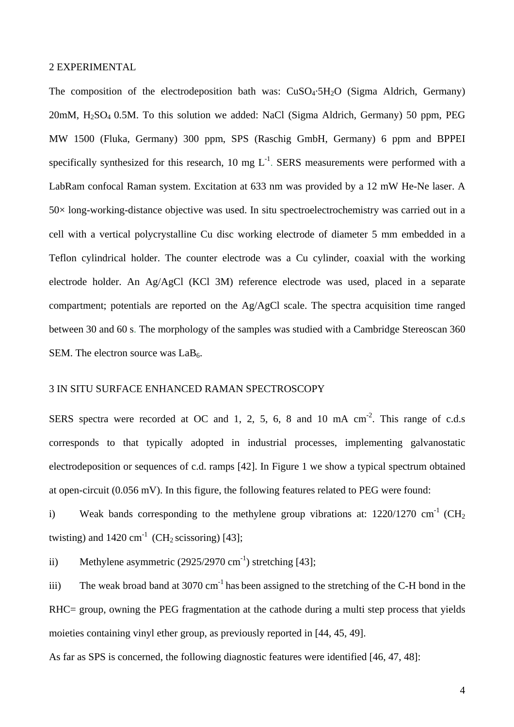## 2 EXPERIMENTAL

The composition of the electrodeposition bath was:  $CuSO<sub>4</sub>·5H<sub>2</sub>O$  (Sigma Aldrich, Germany)  $20mM$ ,  $H<sub>2</sub>SO<sub>4</sub> 0.5M$ . To this solution we added: NaCl (Sigma Aldrich, Germany) 50 ppm, PEG MW 1500 (Fluka, Germany) 300 ppm, SPS (Raschig GmbH, Germany) 6 ppm and BPPEI specifically synthesized for this research, 10 mg  $L^{-1}$ . SERS measurements were performed with a LabRam confocal Raman system. Excitation at 633 nm was provided by a 12 mW He-Ne laser. A 50× long-working-distance objective was used. In situ spectroelectrochemistry was carried out in a cell with a vertical polycrystalline Cu disc working electrode of diameter 5 mm embedded in a Teflon cylindrical holder. The counter electrode was a Cu cylinder, coaxial with the working electrode holder. An Ag/AgCl (KCl 3M) reference electrode was used, placed in a separate compartment; potentials are reported on the Ag/AgCl scale. The spectra acquisition time ranged between 30 and 60 s. The morphology of the samples was studied with a Cambridge Stereoscan 360 SEM. The electron source was  $LaB<sub>6</sub>$ .

#### 3 IN SITU SURFACE ENHANCED RAMAN SPECTROSCOPY

SERS spectra were recorded at OC and 1, 2, 5, 6, 8 and 10 mA  $\text{cm}^{-2}$ . This range of c.d.s corresponds to that typically adopted in industrial processes, implementing galvanostatic electrodeposition or sequences of c.d. ramps [42]. In Figure 1 we show a typical spectrum obtained at open-circuit (0.056 mV). In this figure, the following features related to PEG were found:

i) Weak bands corresponding to the methylene group vibrations at:  $1220/1270 \text{ cm}^{-1}$  (CH<sub>2</sub>) twisting) and  $1420 \text{ cm}^{-1}$  (CH<sub>2</sub> scissoring) [43];

ii) Methylene asymmetric  $(2925/2970 \text{ cm}^{-1})$  stretching [43];

iii) The weak broad band at 3070  $cm^{-1}$  has been assigned to the stretching of the C-H bond in the RHC= group, owning the PEG fragmentation at the cathode during a multi step process that yields moieties containing vinyl ether group, as previously reported in [44, 45, 49].

As far as SPS is concerned, the following diagnostic features were identified [46, 47, 48]: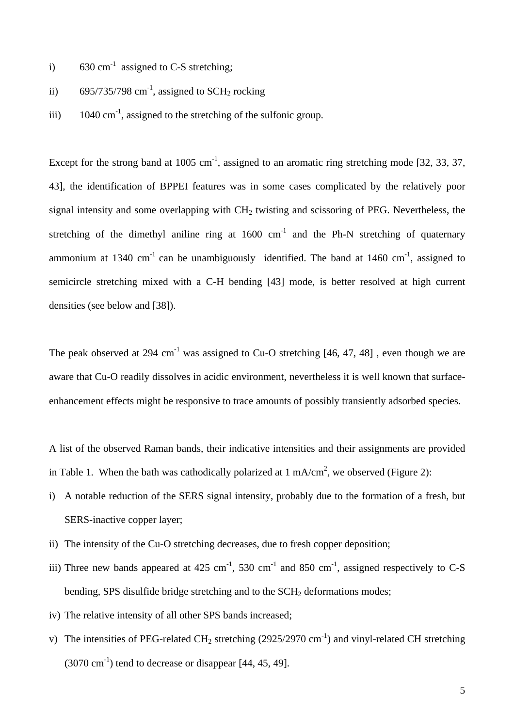- i) 630 cm<sup>-1</sup> assigned to C-S stretching;
- ii) 695/735/798 cm<sup>-1</sup>, assigned to SCH<sub>2</sub> rocking
- iii)  $1040 \text{ cm}^{-1}$ , assigned to the stretching of the sulfonic group.

Except for the strong band at 1005  $cm^{-1}$ , assigned to an aromatic ring stretching mode [32, 33, 37, 43], the identification of BPPEI features was in some cases complicated by the relatively poor signal intensity and some overlapping with  $CH<sub>2</sub>$  twisting and scissoring of PEG. Nevertheless, the stretching of the dimethyl aniline ring at  $1600 \text{ cm}^{-1}$  and the Ph-N stretching of quaternary ammonium at 1340 cm<sup>-1</sup> can be unambiguously identified. The band at 1460 cm<sup>-1</sup>, assigned to semicircle stretching mixed with a C-H bending [43] mode, is better resolved at high current densities (see below and [38]).

The peak observed at 294 cm<sup>-1</sup> was assigned to Cu-O stretching  $[46, 47, 48]$ , even though we are aware that Cu-O readily dissolves in acidic environment, nevertheless it is well known that surfaceenhancement effects might be responsive to trace amounts of possibly transiently adsorbed species.

A list of the observed Raman bands, their indicative intensities and their assignments are provided in Table 1. When the bath was cathodically polarized at 1 mA/cm<sup>2</sup>, we observed (Figure 2):

- i) A notable reduction of the SERS signal intensity, probably due to the formation of a fresh, but SERS-inactive copper layer;
- ii) The intensity of the Cu-O stretching decreases, due to fresh copper deposition;
- iii) Three new bands appeared at  $425 \text{ cm}^{-1}$ ,  $530 \text{ cm}^{-1}$  and  $850 \text{ cm}^{-1}$ , assigned respectively to C-S bending, SPS disulfide bridge stretching and to the SCH<sub>2</sub> deformations modes;
- iv) The relative intensity of all other SPS bands increased;
- v) The intensities of PEG-related CH<sub>2</sub> stretching (2925/2970 cm<sup>-1</sup>) and vinyl-related CH stretching  $(3070 \text{ cm}^{-1})$  tend to decrease or disappear [44, 45, 49].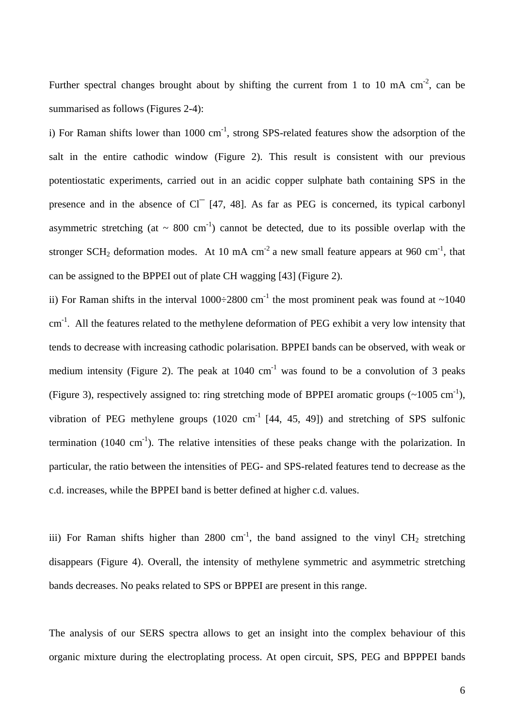Further spectral changes brought about by shifting the current from 1 to 10 mA  $cm^{-2}$ , can be summarised as follows (Figures 2-4):

i) For Raman shifts lower than  $1000 \text{ cm}^{-1}$ , strong SPS-related features show the adsorption of the salt in the entire cathodic window (Figure 2). This result is consistent with our previous potentiostatic experiments, carried out in an acidic copper sulphate bath containing SPS in the presence and in the absence of Cl<sup>-</sup> [47, 48]. As far as PEG is concerned, its typical carbonyl asymmetric stretching (at  $\sim 800 \text{ cm}^{-1}$ ) cannot be detected, due to its possible overlap with the stronger SCH<sub>2</sub> deformation modes. At 10 mA cm<sup>-2</sup> a new small feature appears at 960 cm<sup>-1</sup>, that can be assigned to the BPPEI out of plate CH wagging [43] (Figure 2).

ii) For Raman shifts in the interval  $1000\div 2800$  cm<sup>-1</sup> the most prominent peak was found at  $\sim 1040$ cm<sup>-1</sup>. All the features related to the methylene deformation of PEG exhibit a very low intensity that tends to decrease with increasing cathodic polarisation. BPPEI bands can be observed, with weak or medium intensity (Figure 2). The peak at  $1040 \text{ cm}^{-1}$  was found to be a convolution of 3 peaks (Figure 3), respectively assigned to: ring stretching mode of BPPEI aromatic groups  $(\sim 1005 \text{ cm}^{-1})$ . vibration of PEG methylene groups  $(1020 \text{ cm}^{-1} [44, 45, 49])$  and stretching of SPS sulfonic termination (1040 cm<sup>-1</sup>). The relative intensities of these peaks change with the polarization. In particular, the ratio between the intensities of PEG- and SPS-related features tend to decrease as the c.d. increases, while the BPPEI band is better defined at higher c.d. values.

iii) For Raman shifts higher than 2800 cm<sup>-1</sup>, the band assigned to the vinyl CH<sub>2</sub> stretching disappears (Figure 4). Overall, the intensity of methylene symmetric and asymmetric stretching bands decreases. No peaks related to SPS or BPPEI are present in this range.

The analysis of our SERS spectra allows to get an insight into the complex behaviour of this organic mixture during the electroplating process. At open circuit, SPS, PEG and BPPPEI bands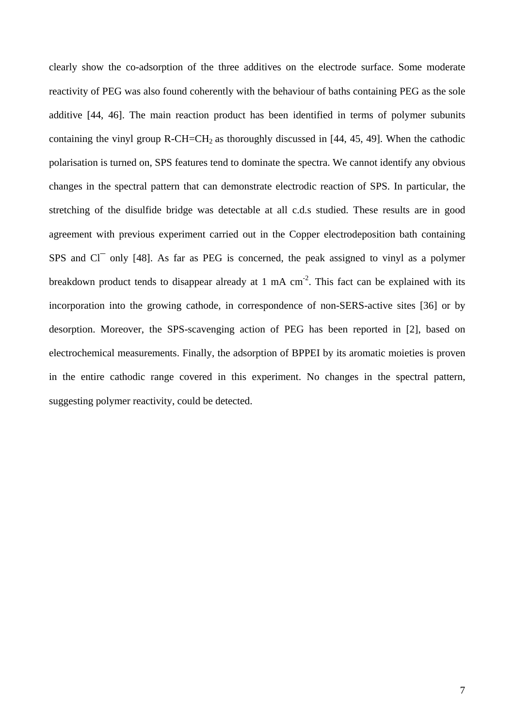clearly show the co-adsorption of the three additives on the electrode surface. Some moderate reactivity of PEG was also found coherently with the behaviour of baths containing PEG as the sole additive [44, 46]. The main reaction product has been identified in terms of polymer subunits containing the vinyl group  $R$ -CH=CH<sub>2</sub> as thoroughly discussed in [44, 45, 49]. When the cathodic polarisation is turned on, SPS features tend to dominate the spectra. We cannot identify any obvious changes in the spectral pattern that can demonstrate electrodic reaction of SPS. In particular, the stretching of the disulfide bridge was detectable at all c.d.s studied. These results are in good agreement with previous experiment carried out in the Copper electrodeposition bath containing SPS and Cl<sup>-</sup> only [48]. As far as PEG is concerned, the peak assigned to vinyl as a polymer breakdown product tends to disappear already at 1 mA  $cm<sup>-2</sup>$ . This fact can be explained with its incorporation into the growing cathode, in correspondence of non-SERS-active sites [36] or by desorption. Moreover, the SPS-scavenging action of PEG has been reported in [2], based on electrochemical measurements. Finally, the adsorption of BPPEI by its aromatic moieties is proven in the entire cathodic range covered in this experiment. No changes in the spectral pattern, suggesting polymer reactivity, could be detected.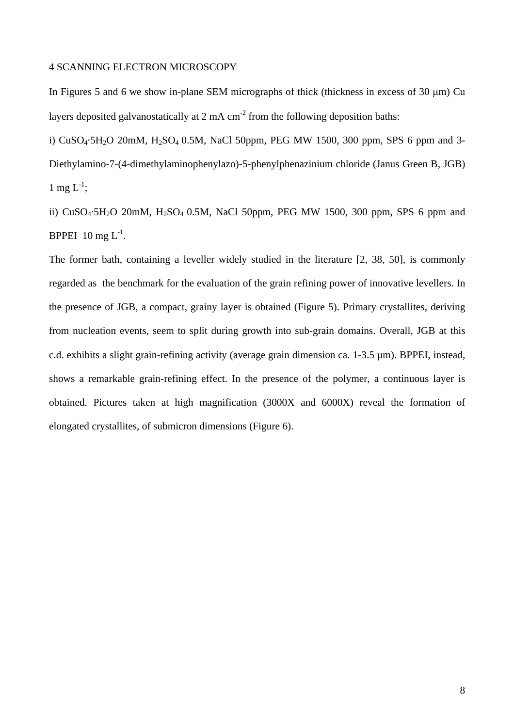## 4 SCANNING ELECTRON MICROSCOPY

In Figures 5 and 6 we show in-plane SEM micrographs of thick (thickness in excess of 30 µm) Cu layers deposited galvanostatically at  $2 \text{ mA cm}^2$  from the following deposition baths:

i)  $CuSO<sub>4</sub>·5H<sub>2</sub>O$  20mM,  $H<sub>2</sub>SO<sub>4</sub> 0.5M$ , NaCl 50ppm, PEG MW 1500, 300 ppm, SPS 6 ppm and 3-Diethylamino-7-(4-dimethylaminophenylazo)-5-phenylphenazinium chloride (Janus Green B, JGB) 1 mg  $L^{-1}$ ;

ii)  $CuSO_4·5H_2O$  20mM,  $H_2SO_4$  0.5M, NaCl 50ppm, PEG MW 1500, 300 ppm, SPS 6 ppm and BPPEI  $10 \text{ mg } L^{-1}$ .

The former bath, containing a leveller widely studied in the literature [2, 38, 50], is commonly regarded as the benchmark for the evaluation of the grain refining power of innovative levellers. In the presence of JGB, a compact, grainy layer is obtained (Figure 5). Primary crystallites, deriving from nucleation events, seem to split during growth into sub-grain domains. Overall, JGB at this c.d. exhibits a slight grain-refining activity (average grain dimension ca. 1-3.5 µm). BPPEI, instead, shows a remarkable grain-refining effect. In the presence of the polymer, a continuous layer is obtained. Pictures taken at high magnification (3000X and 6000X) reveal the formation of elongated crystallites, of submicron dimensions (Figure 6).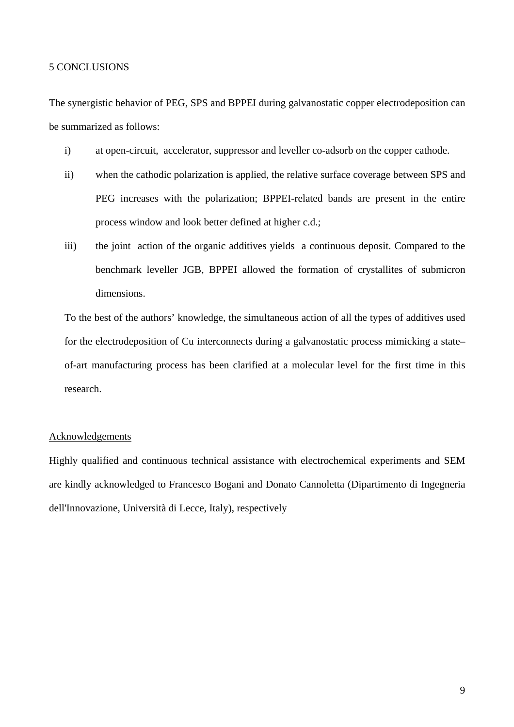## 5 CONCLUSIONS

The synergistic behavior of PEG, SPS and BPPEI during galvanostatic copper electrodeposition can be summarized as follows:

- i) at open-circuit, accelerator, suppressor and leveller co-adsorb on the copper cathode.
- ii) when the cathodic polarization is applied, the relative surface coverage between SPS and PEG increases with the polarization; BPPEI-related bands are present in the entire process window and look better defined at higher c.d.;
- iii) the joint action of the organic additives yields a continuous deposit. Compared to the benchmark leveller JGB, BPPEI allowed the formation of crystallites of submicron dimensions.

To the best of the authors' knowledge, the simultaneous action of all the types of additives used for the electrodeposition of Cu interconnects during a galvanostatic process mimicking a state– of-art manufacturing process has been clarified at a molecular level for the first time in this research.

#### Acknowledgements

Highly qualified and continuous technical assistance with electrochemical experiments and SEM are kindly acknowledged to Francesco Bogani and Donato Cannoletta (Dipartimento di Ingegneria dell'Innovazione, Università di Lecce, Italy), respectively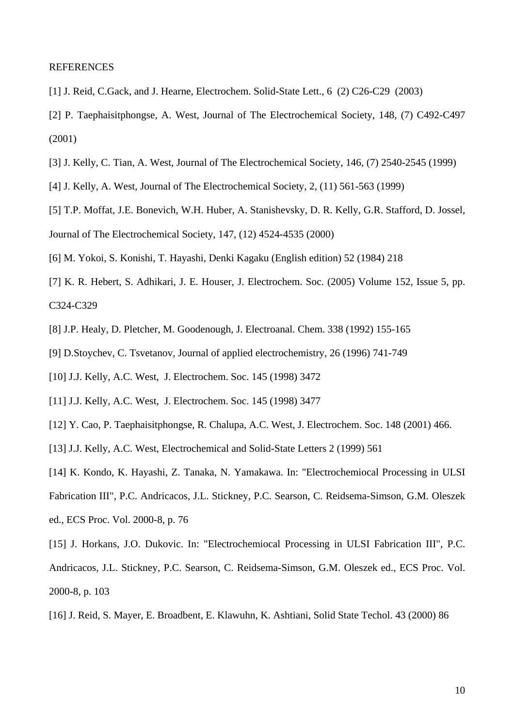#### REFERENCES

- [1] J. Reid, C.Gack, and J. Hearne, Electrochem. Solid-State Lett., 6 (2) C26-C29 (2003)
- [2] P. Taephaisitphongse, A. West, Journal of The Electrochemical Society, 148, (7) C492-C497 (2001)
- [3] J. Kelly, C. Tian, A. West, Journal of The Electrochemical Society, 146, (7) 2540-2545 (1999)
- [4] J. Kelly, A. West, Journal of The Electrochemical Society, 2, (11) 561-563 (1999)
- [5] T.P. Moffat, J.E. Bonevich, W.H. Huber, A. Stanishevsky, D. R. Kelly, G.R. Stafford, D. Jossel, Journal of The Electrochemical Society, 147, (12) 4524-4535 (2000)
- [6] M. Yokoi, S. Konishi, T. Hayashi, Denki Kagaku (English edition) 52 (1984) 218
- [7] K. R. Hebert, S. Adhikari, J. E. Houser, J. Electrochem. Soc. (2005) Volume 152, Issue 5, pp. C324-C329
- [8] J.P. Healy, D. Pletcher, M. Goodenough, J. Electroanal. Chem. 338 (1992) 155-165
- [9] D.Stoychev, C. Tsvetanov, Journal of applied electrochemistry, 26 (1996) 741-749
- [10] J.J. Kelly, A.C. West, J. Electrochem. Soc. 145 (1998) 3472
- [11] J.J. Kelly, A.C. West, J. Electrochem. Soc. 145 (1998) 3477
- [12] Y. Cao, P. Taephaisitphongse, R. Chalupa, A.C. West, J. Electrochem. Soc. 148 (2001) 466.
- [13] J.J. Kelly, A.C. West, Electrochemical and Solid-State Letters 2 (1999) 561
- [14] K. Kondo, K. Hayashi, Z. Tanaka, N. Yamakawa. In: "Electrochemiocal Processing in ULSI
- Fabrication III", P.C. Andricacos, J.L. Stickney, P.C. Searson, C. Reidsema-Simson, G.M. Oleszek ed., ECS Proc. Vol. 2000-8, p. 76
- [15] J. Horkans, J.O. Dukovic. In: "Electrochemiocal Processing in ULSI Fabrication III", P.C.
- Andricacos, J.L. Stickney, P.C. Searson, C. Reidsema-Simson, G.M. Oleszek ed., ECS Proc. Vol. 2000-8, p. 103
- [16] J. Reid, S. Mayer, E. Broadbent, E. Klawuhn, K. Ashtiani, Solid State Techol. 43 (2000) 86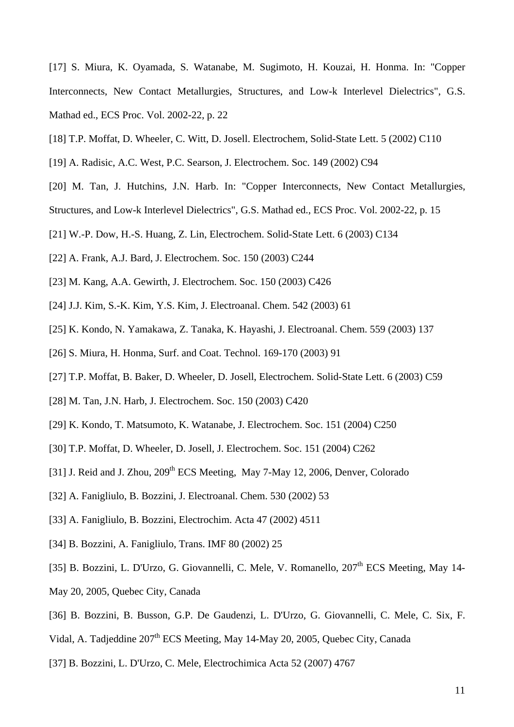[17] S. Miura, K. Oyamada, S. Watanabe, M. Sugimoto, H. Kouzai, H. Honma. In: "Copper Interconnects, New Contact Metallurgies, Structures, and Low-k Interlevel Dielectrics", G.S. Mathad ed., ECS Proc. Vol. 2002-22, p. 22

- [18] T.P. Moffat, D. Wheeler, C. Witt, D. Josell. Electrochem, Solid-State Lett. 5 (2002) C110
- [19] A. Radisic, A.C. West, P.C. Searson, J. Electrochem. Soc. 149 (2002) C94
- [20] M. Tan, J. Hutchins, J.N. Harb. In: "Copper Interconnects, New Contact Metallurgies, Structures, and Low-k Interlevel Dielectrics", G.S. Mathad ed., ECS Proc. Vol. 2002-22, p. 15
- [21] W.-P. Dow, H.-S. Huang, Z. Lin, Electrochem. Solid-State Lett. 6 (2003) C134
- [22] A. Frank, A.J. Bard, J. Electrochem. Soc. 150 (2003) C244
- [23] M. Kang, A.A. Gewirth, J. Electrochem. Soc. 150 (2003) C426
- [24] J.J. Kim, S.-K. Kim, Y.S. Kim, J. Electroanal. Chem. 542 (2003) 61
- [25] K. Kondo, N. Yamakawa, Z. Tanaka, K. Hayashi, J. Electroanal. Chem. 559 (2003) 137
- [26] S. Miura, H. Honma, Surf. and Coat. Technol. 169-170 (2003) 91
- [27] T.P. Moffat, B. Baker, D. Wheeler, D. Josell, Electrochem. Solid-State Lett. 6 (2003) C59
- [28] M. Tan, J.N. Harb, J. Electrochem. Soc. 150 (2003) C420
- [29] K. Kondo, T. Matsumoto, K. Watanabe, J. Electrochem. Soc. 151 (2004) C250
- [30] T.P. Moffat, D. Wheeler, D. Josell, J. Electrochem. Soc. 151 (2004) C262
- [31] J. Reid and J. Zhou, 209<sup>th</sup> ECS Meeting, May 7-May 12, 2006, Denver, Colorado
- [32] A. Fanigliulo, B. Bozzini, J. Electroanal. Chem. 530 (2002) 53
- [33] A. Fanigliulo, B. Bozzini, Electrochim. Acta 47 (2002) 4511
- [34] B. Bozzini, A. Fanigliulo, Trans. IMF 80 (2002) 25
- [35] B. Bozzini, L. D'Urzo, G. Giovannelli, C. Mele, V. Romanello, 207<sup>th</sup> ECS Meeting, May 14-
- May 20, 2005, Quebec City, Canada
- [36] B. Bozzini, B. Busson, G.P. De Gaudenzi, L. D'Urzo, G. Giovannelli, C. Mele, C. Six, F.
- Vidal, A. Tadjeddine 207<sup>th</sup> ECS Meeting, May 14-May 20, 2005, Ouebec City, Canada
- [37] B. Bozzini, L. D'Urzo, C. Mele, Electrochimica Acta 52 (2007) 4767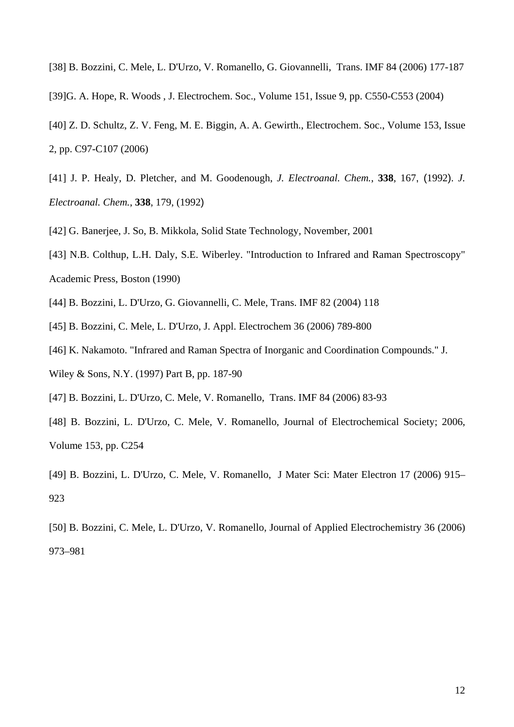- [38] B. Bozzini, C. Mele, L. D'Urzo, V. Romanello, G. Giovannelli, Trans. IMF 84 (2006) 177-187
- [39]G. A. Hope, R. Woods , J. Electrochem. Soc., Volume 151, Issue 9, pp. C550-C553 (2004)
- [40] Z. D. Schultz, Z. V. Feng, M. E. Biggin, A. A. Gewirth., Electrochem. Soc., Volume 153, Issue 2, pp. C97-C107 (2006)
- [41] J. P. Healy, D. Pletcher, and M. Goodenough, *J. Electroanal. Chem.*, **338**, 167, (1992). *J. Electroanal. Chem.*, **338**, 179, (1992)
- [42] G. Banerjee, J. So, B. Mikkola, Solid State Technology*,* November, 2001
- [43] N.B. Colthup, L.H. Daly, S.E. Wiberley. "Introduction to Infrared and Raman Spectroscopy" Academic Press, Boston (1990)
- [44] B. Bozzini, L. D'Urzo, G. Giovannelli, C. Mele, Trans. IMF 82 (2004) 118
- [45] B. Bozzini, C. Mele, L. D'Urzo, J. Appl. Electrochem 36 (2006) 789-800
- [46] K. Nakamoto. "Infrared and Raman Spectra of Inorganic and Coordination Compounds." J.
- Wiley & Sons, N.Y. (1997) Part B, pp. 187-90
- [47] B. Bozzini, L. D'Urzo, C. Mele, V. Romanello, Trans. IMF 84 (2006) 83-93
- [48] B. Bozzini, L. D'Urzo, C. Mele, V. Romanello, Journal of Electrochemical Society; 2006, Volume 153, pp. C254
- [49] B. Bozzini, L. D'Urzo, C. Mele, V. Romanello, J Mater Sci: Mater Electron 17 (2006) 915– 923
- [50] B. Bozzini, C. Mele, L. D'Urzo, V. Romanello, Journal of Applied Electrochemistry 36 (2006) 973–981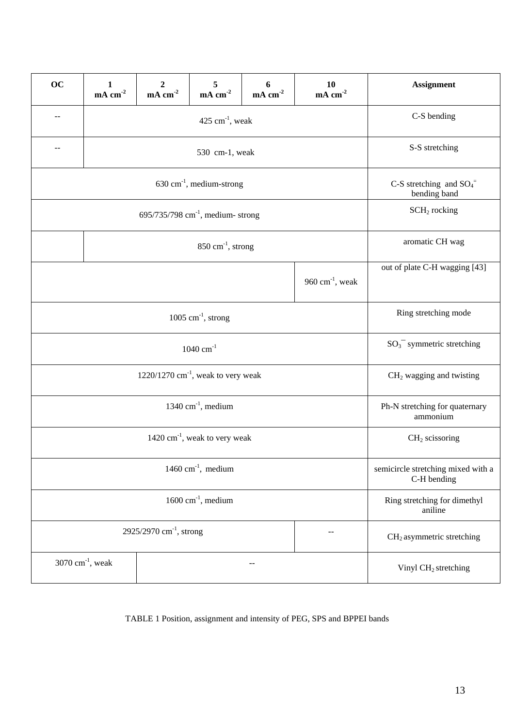| <b>OC</b>                                  | 1<br>$mA$ cm <sup>-2</sup>     | $mA$ cm <sup>-2</sup> | 5<br>mA cm <sup>-2</sup> | 6<br>$mA$ cm <sup>-2</sup> | 10<br>$mA$ cm <sup>-2</sup> | <b>Assignment</b>                                      |
|--------------------------------------------|--------------------------------|-----------------------|--------------------------|----------------------------|-----------------------------|--------------------------------------------------------|
| $-$                                        | $425$ cm <sup>-1</sup> , weak  |                       |                          |                            |                             | C-S bending                                            |
| $-$                                        | 530 cm-1, weak                 |                       |                          |                            |                             | S-S stretching                                         |
| $630 \text{ cm}^{-1}$ , medium-strong      |                                |                       |                          |                            |                             | C-S stretching and $SO_4$ <sup>=</sup><br>bending band |
| 695/735/798 $cm^{-1}$ , medium-strong      |                                |                       |                          |                            |                             | SCH <sub>2</sub> rocking                               |
|                                            |                                | aromatic CH wag       |                          |                            |                             |                                                        |
|                                            |                                |                       |                          |                            | 960 cm $^{-1}$ , weak       | out of plate C-H wagging [43]                          |
| $1005$ cm <sup>-1</sup> , strong           |                                |                       |                          |                            |                             | Ring stretching mode                                   |
| $1040 \text{ cm}^{-1}$                     |                                |                       |                          |                            |                             | $SO_3^-$ symmetric stretching                          |
| 1220/1270 $cm^{-1}$ , weak to very weak    |                                |                       |                          |                            |                             | $CH2$ wagging and twisting                             |
| $1340 \text{ cm}^{-1}$ , medium            |                                |                       |                          |                            |                             | Ph-N stretching for quaternary<br>ammonium             |
| $1420 \text{ cm}^{-1}$ , weak to very weak |                                |                       |                          |                            |                             | $CH2$ scissoring                                       |
| $1460 \text{ cm}^{-1}$ , medium            |                                |                       |                          |                            |                             | semicircle stretching mixed with a<br>C-H bending      |
| $1600 \text{ cm}^{-1}$ , medium            |                                |                       |                          |                            |                             | Ring stretching for dimethyl<br>aniline                |
| 2925/2970 cm <sup>-1</sup> , strong        |                                |                       |                          |                            |                             | $CH2$ asymmetric stretching                            |
|                                            | $3070$ cm <sup>-1</sup> , weak |                       |                          |                            |                             | Vinyl CH <sub>2</sub> stretching                       |

TABLE 1 Position, assignment and intensity of PEG, SPS and BPPEI bands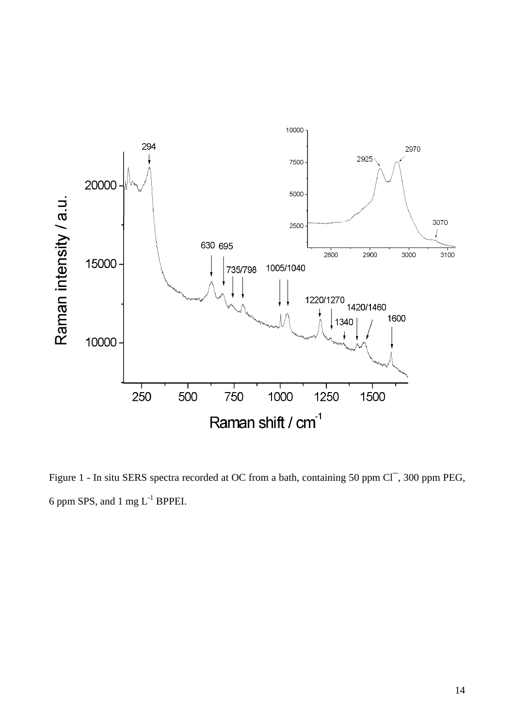

Figure 1 - In situ SERS spectra recorded at OC from a bath, containing 50 ppm Cl<sup>-</sup>, 300 ppm PEG, 6 ppm SPS, and 1 mg L-1 BPPEI.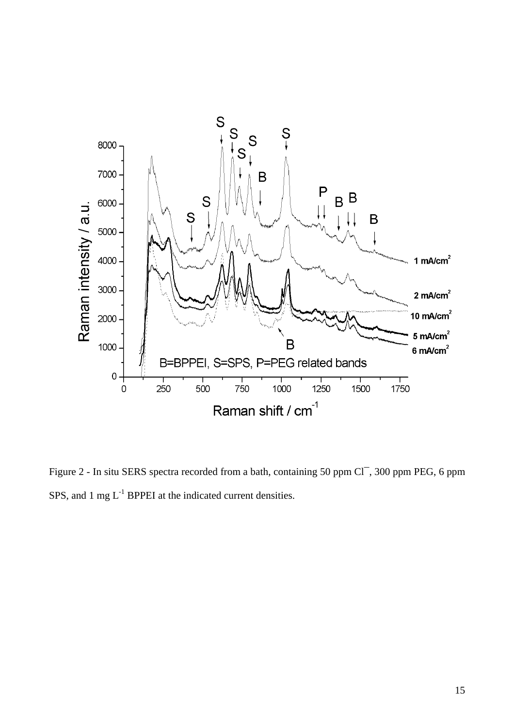

Figure 2 - In situ SERS spectra recorded from a bath, containing 50 ppm Cl<sup>-</sup>, 300 ppm PEG, 6 ppm SPS, and  $1 \text{ mg } L^{-1}$  BPPEI at the indicated current densities.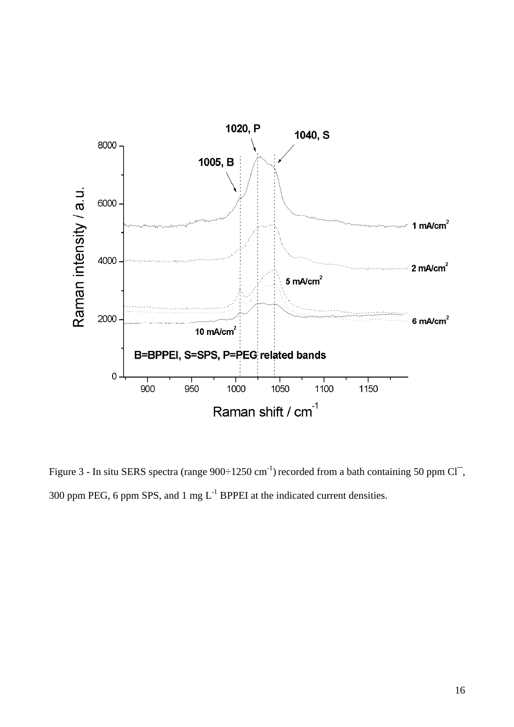

Figure 3 - In situ SERS spectra (range  $900 \div 1250$  cm<sup>-1</sup>) recorded from a bath containing 50 ppm Cl<sup>-</sup>, 300 ppm PEG, 6 ppm SPS, and 1 mg  $L^{-1}$  BPPEI at the indicated current densities.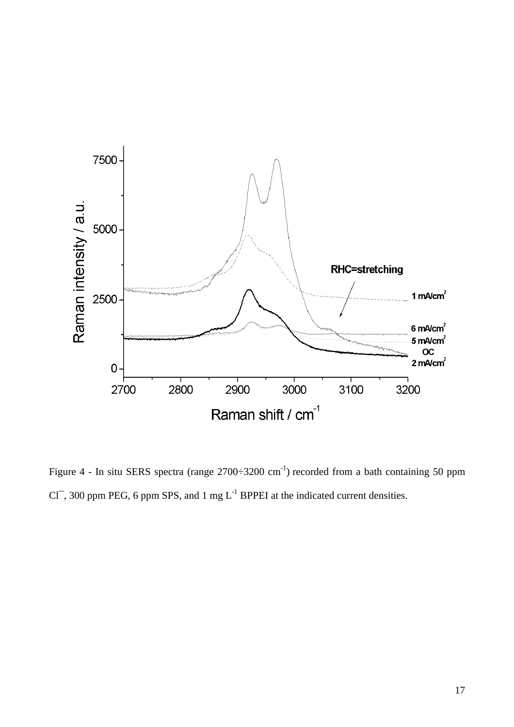

Figure 4 - In situ SERS spectra (range  $2700\div 3200$  cm<sup>-1</sup>) recorded from a bath containing 50 ppm  $Cl^-$ , 300 ppm PEG, 6 ppm SPS, and 1 mg  $L^{-1}$  BPPEI at the indicated current densities.